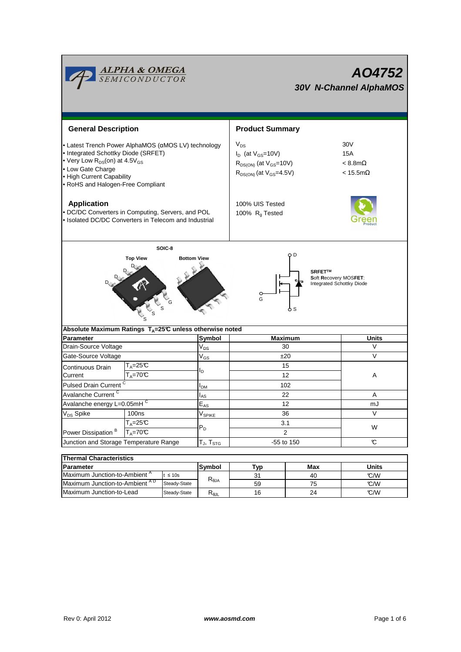|                                                                                                                                                                                                                                            | <mark>ALPHA &amp; OMEGA</mark><br>SEMICONDUCTOR<br>AO4752<br><b>30V N-Channel AlphaMOS</b> |                                                                                                               |                       |                                                                     |  |  |  |
|--------------------------------------------------------------------------------------------------------------------------------------------------------------------------------------------------------------------------------------------|--------------------------------------------------------------------------------------------|---------------------------------------------------------------------------------------------------------------|-----------------------|---------------------------------------------------------------------|--|--|--|
| <b>General Description</b>                                                                                                                                                                                                                 |                                                                                            | <b>Product Summary</b>                                                                                        |                       |                                                                     |  |  |  |
| • Latest Trench Power AlphaMOS (aMOS LV) technology<br>• Integrated Schottky Diode (SRFET)<br>• Very Low R <sub>DS</sub> (on) at 4.5V <sub>GS</sub><br>• Low Gate Charge<br>• High Current Capability<br>• RoHS and Halogen-Free Compliant |                                                                                            | $V_{DS}$<br>$I_D$ (at $V_{GS}$ =10V)<br>$R_{DS(ON)}$ (at $V_{GS}=10V$ )<br>$R_{DS(ON)}$ (at $V_{GS} = 4.5V$ ) |                       | 30 <sub>V</sub><br>15A<br>$< 8.8$ m $\Omega$<br>$< 15.5$ m $\Omega$ |  |  |  |
| <b>Application</b><br>· DC/DC Converters in Computing, Servers, and POL<br>• Isolated DC/DC Converters in Telecom and Industrial                                                                                                           |                                                                                            | 100% UIS Tested<br>100% R <sub>a</sub> Tested                                                                 |                       |                                                                     |  |  |  |
| O D<br><b>Top View</b><br><b>Bottom View</b><br><b>SRFETTM</b><br>Soft Recovery MOSFET:<br>Integrated Schottky Diode<br>G<br>۰S<br>Absolute Maximum Ratings $T_A = 25^\circ \text{C}$ unless otherwise noted                               |                                                                                            |                                                                                                               |                       |                                                                     |  |  |  |
| <b>Parameter</b>                                                                                                                                                                                                                           | Symbol                                                                                     |                                                                                                               | <b>Maximum</b>        | Units                                                               |  |  |  |
| Drain-Source Voltage                                                                                                                                                                                                                       | V <sub>DS</sub>                                                                            |                                                                                                               | 30                    |                                                                     |  |  |  |
| Gate-Source Voltage                                                                                                                                                                                                                        | $V_{GS}$                                                                                   |                                                                                                               | ±20                   |                                                                     |  |  |  |
| $T_A = 25C$<br>Continuous Drain<br>$T_A = 70C$<br>Current<br>Pulsed Drain Current <sup>C</sup>                                                                                                                                             | l <sub>D</sub>                                                                             | 15<br>12<br>102                                                                                               |                       | Α                                                                   |  |  |  |
| Avalanche Current <sup>C</sup>                                                                                                                                                                                                             | I <sub>DM</sub>                                                                            |                                                                                                               |                       |                                                                     |  |  |  |
| Avalanche energy L=0.05mHC                                                                                                                                                                                                                 | l <sub>AS</sub><br>$\mathsf{E}_{\mathsf{AS}}$                                              |                                                                                                               | 22                    |                                                                     |  |  |  |
| V <sub>DS</sub> Spike<br>100ns                                                                                                                                                                                                             | $V_{SPI\underline{KE}}$                                                                    |                                                                                                               | 12<br>36              |                                                                     |  |  |  |
| $T_A = 25C$<br>Power Dissipation <sup>B</sup><br>$T_A = 70^\circ C$                                                                                                                                                                        | $P_D$                                                                                      |                                                                                                               | 3.1<br>$\overline{2}$ | $\vee$<br>W                                                         |  |  |  |
| Junction and Storage Temperature Range                                                                                                                                                                                                     | $T_{J}$ , $T_{STG}$                                                                        |                                                                                                               | -55 to 150            |                                                                     |  |  |  |
|                                                                                                                                                                                                                                            |                                                                                            |                                                                                                               |                       |                                                                     |  |  |  |
| <b>Thermal Characteristics</b>                                                                                                                                                                                                             |                                                                                            |                                                                                                               |                       |                                                                     |  |  |  |
| <b>Parameter</b><br>Maximum Junction-to-Ambient <sup>A</sup>                                                                                                                                                                               | Symbol                                                                                     | <b>Typ</b>                                                                                                    | Max                   | <b>Units</b>                                                        |  |  |  |
|                                                                                                                                                                                                                                            | $t \leq 10s$                                                                               | 31                                                                                                            | 40                    | C/W                                                                 |  |  |  |

Г

59

75 24

16

 $\overline{\text{Steady-State}}$   $R_{\theta \text{JL}}$ 

Maximum Junction-to-Lead  $\qquad$  Steady-State R<sub>e.IL</sub> 16 24 ℃/W

J.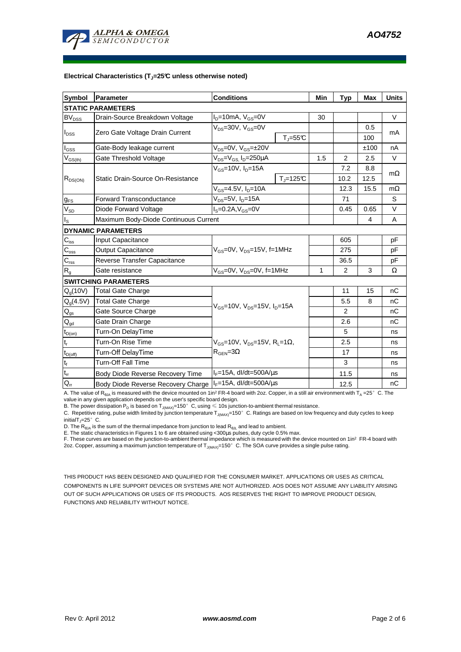#### **Electrical Characteristics (TJ=25°C unless otherwise noted)**

| <b>Symbol</b>               | Parameter                             | <b>Conditions</b>                                                                                      |                              | Min | <b>Typ</b> | Max  | <b>Units</b> |  |  |  |  |
|-----------------------------|---------------------------------------|--------------------------------------------------------------------------------------------------------|------------------------------|-----|------------|------|--------------|--|--|--|--|
| <b>STATIC PARAMETERS</b>    |                                       |                                                                                                        |                              |     |            |      |              |  |  |  |  |
| $BV_{DSS}$                  | Drain-Source Breakdown Voltage        | $I_D = 10mA$ , $V_{GS} = 0V$                                                                           |                              | 30  |            |      | $\vee$       |  |  |  |  |
| $I_{DSS}$                   | Zero Gate Voltage Drain Current       | $V_{DS}$ =30V, $V_{GS}$ =0V                                                                            |                              |     |            | 0.5  |              |  |  |  |  |
|                             |                                       |                                                                                                        | $T_{\text{J}} = 55^{\circ}C$ |     |            | 100  | mA           |  |  |  |  |
| l <sub>GSS</sub>            | Gate-Body leakage current             | $V_{DS} = 0V$ , $V_{GS} = \pm 20V$                                                                     |                              |     |            | ±100 | nA           |  |  |  |  |
| $V_{GS(th)}$                | Gate Threshold Voltage                | $V_{DS} = V_{GS}$ , $I_D = 250 \mu A$                                                                  |                              | 1.5 | 2          | 2.5  | V            |  |  |  |  |
| $R_{DS(ON)}$                | Static Drain-Source On-Resistance     | $V_{GS}$ =10V, I <sub>n</sub> =15A                                                                     |                              |     | 7.2        | 8.8  |              |  |  |  |  |
|                             |                                       |                                                                                                        | $T_{\parallel} = 125$ °C     |     | 10.2       | 12.5 | $m\Omega$    |  |  |  |  |
|                             |                                       | $V_{GS}$ =4.5V, $I_{D}$ =10A                                                                           |                              |     | 12.3       | 15.5 | $m\Omega$    |  |  |  |  |
| $g_{FS}$                    | <b>Forward Transconductance</b>       | $V_{DS}=5V$ , $I_{D}=15A$                                                                              |                              |     | 71         |      | S            |  |  |  |  |
| $V_{SD}$                    | Diode Forward Voltage                 | $I_S = 0.2A, V_{GS} = 0V$                                                                              |                              |     | 0.45       | 0.65 | $\vee$       |  |  |  |  |
| I <sub>S</sub>              | Maximum Body-Diode Continuous Current |                                                                                                        |                              |     |            | 4    | A            |  |  |  |  |
|                             | <b>DYNAMIC PARAMETERS</b>             |                                                                                                        |                              |     |            |      |              |  |  |  |  |
| $C_{\text{iss}}$            | Input Capacitance                     | $V_{GS}$ =0V, $V_{DS}$ =15V, f=1MHz                                                                    |                              |     | 605        |      | pF           |  |  |  |  |
| $C_{\rm oss}$               | <b>Output Capacitance</b>             |                                                                                                        |                              |     | 275        |      | pF           |  |  |  |  |
| $C_{\text{rss}}$            | Reverse Transfer Capacitance          |                                                                                                        |                              |     | 36.5       |      | pF           |  |  |  |  |
| $R_{g}$                     | Gate resistance                       | $V_{GS}$ =0V, $V_{DS}$ =0V, f=1MHz                                                                     |                              | 1   | 2          | 3    | Ω            |  |  |  |  |
|                             | <b>SWITCHING PARAMETERS</b>           |                                                                                                        |                              |     |            |      |              |  |  |  |  |
| $Q_q(10V)$                  | <b>Total Gate Charge</b>              | $V_{GS}$ =10V, $V_{DS}$ =15V, $I_{D}$ =15A                                                             |                              |     | 11         | 15   | nC           |  |  |  |  |
| $Q_g(4.5V)$                 | <b>Total Gate Charge</b>              |                                                                                                        |                              |     | 5.5        | 8    | nC           |  |  |  |  |
| $Q_{gs}$                    | Gate Source Charge                    |                                                                                                        |                              |     | 2          |      | nC           |  |  |  |  |
| $\mathsf{Q}_{\mathsf{gd}}$  | Gate Drain Charge                     |                                                                                                        |                              |     | 2.6        |      | nC           |  |  |  |  |
| $t_{D(on)}$                 | Turn-On DelayTime                     | $V_{\text{GS}}$ =10V, $V_{\text{DS}}$ =15V, $R_{\text{I}}$ =1 $\Omega$ ,<br>$R_{\text{GEN}} = 3\Omega$ |                              |     | 5          |      | ns           |  |  |  |  |
| t,                          | Turn-On Rise Time                     |                                                                                                        |                              |     | 2.5        |      | ns           |  |  |  |  |
| $t_{D(off)}$                | Turn-Off DelayTime                    |                                                                                                        |                              |     | 17         |      | ns           |  |  |  |  |
| $\mathfrak{t}_{\mathsf{f}}$ | <b>Turn-Off Fall Time</b>             |                                                                                                        |                              |     | 3          |      | ns           |  |  |  |  |
| $t_{rr}$                    | Body Diode Reverse Recovery Time      | $I_F = 15A$ , dl/dt=500A/ $\mu$ s                                                                      |                              |     | 11.5       |      | ns           |  |  |  |  |
| $Q_{rr}$                    | Body Diode Reverse Recovery Charge    | $I_F = 15A$ , dl/dt=500A/us                                                                            |                              |     | 12.5       |      | nC           |  |  |  |  |

A. The value of R<sub>BJA</sub> is measured with the device mounted on 1in<sup>2</sup> FR-4 board with 2oz. Copper, in a still air environment with T<sub>A</sub> =25°C. The value in any given application depends on the user's specific board design.

B. The power dissipation P<sub>D</sub> is based on T<sub>J(MAX)</sub>=150°C, using  $\leq 10$ s junction-to-ambient thermal resistance.

C. Repetitive rating, pulse width limited by junction temperature  $T_{J(MAX)}$ =150°C. Ratings are based on low frequency and duty cycles to keep initialT $_{\parallel}$ =25°C.

D. The R<sub>6JA</sub> is the sum of the thermal impedance from junction to lead R<sub>θJL</sub> and lead to ambient.<br>E. The static characteristics in Figures 1 to 6 are obtained using <300μs pulses, duty cycle 0.5% max.<br>F. These curves ar 2oz. Copper, assuming a maximum junction temperature of T<sub>J(MAX)</sub>=150°C. The SOA curve provides a single pulse rating.

THIS PRODUCT HAS BEEN DESIGNED AND QUALIFIED FOR THE CONSUMER MARKET. APPLICATIONS OR USES AS CRITICAL COMPONENTS IN LIFE SUPPORT DEVICES OR SYSTEMS ARE NOT AUTHORIZED. AOS DOES NOT ASSUME ANY LIABILITY ARISING OUT OF SUCH APPLICATIONS OR USES OF ITS PRODUCTS. AOS RESERVES THE RIGHT TO IMPROVE PRODUCT DESIGN, FUNCTIONS AND RELIABILITY WITHOUT NOTICE.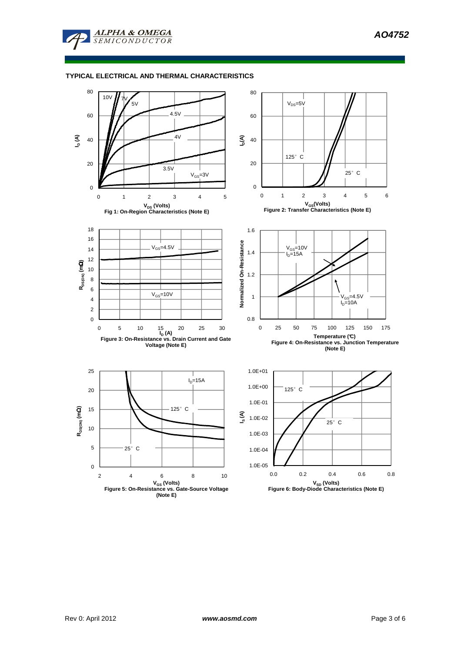

# **TYPICAL ELECTRICAL AND THERMAL CHARACTERISTICS**

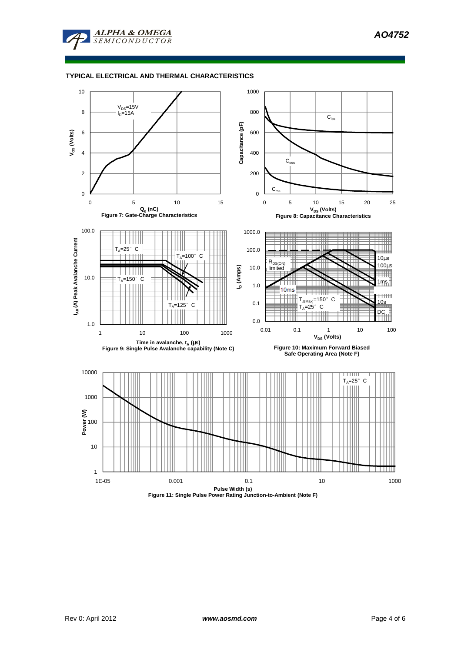

#### **TYPICAL ELECTRICAL AND THERMAL CHARACTERISTICS**

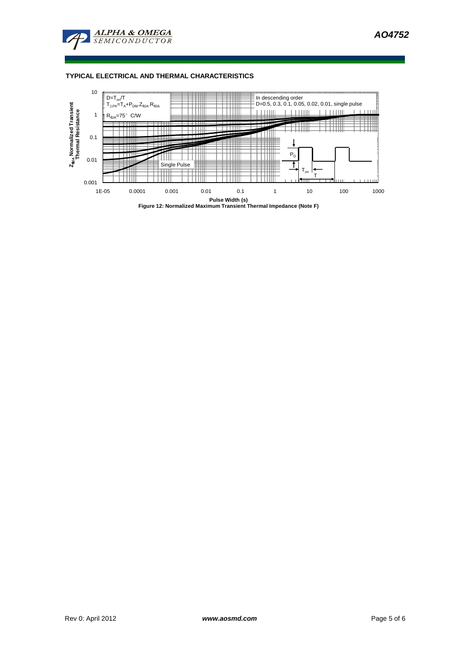

# **TYPICAL ELECTRICAL AND THERMAL CHARACTERISTICS**